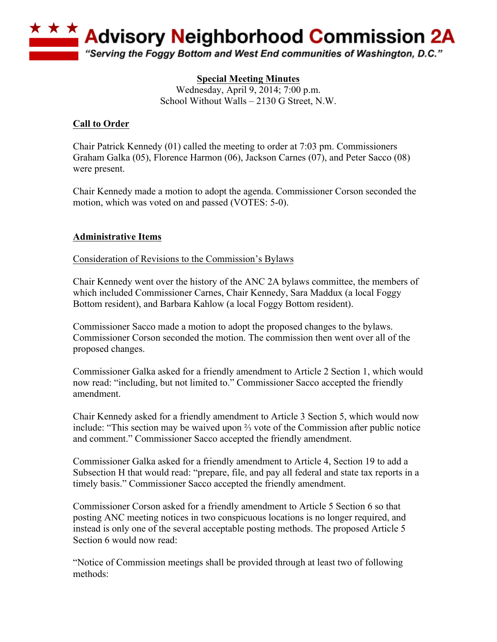

# **Special Meeting Minutes**

Wednesday, April 9, 2014; 7:00 p.m. School Without Walls – 2130 G Street, N.W.

### **Call to Order**

Chair Patrick Kennedy (01) called the meeting to order at 7:03 pm. Commissioners Graham Galka (05), Florence Harmon (06), Jackson Carnes (07), and Peter Sacco (08) were present.

Chair Kennedy made a motion to adopt the agenda. Commissioner Corson seconded the motion, which was voted on and passed (VOTES: 5-0).

### **Administrative Items**

#### Consideration of Revisions to the Commission's Bylaws

Chair Kennedy went over the history of the ANC 2A bylaws committee, the members of which included Commissioner Carnes, Chair Kennedy, Sara Maddux (a local Foggy Bottom resident), and Barbara Kahlow (a local Foggy Bottom resident).

Commissioner Sacco made a motion to adopt the proposed changes to the bylaws. Commissioner Corson seconded the motion. The commission then went over all of the proposed changes.

Commissioner Galka asked for a friendly amendment to Article 2 Section 1, which would now read: "including, but not limited to." Commissioner Sacco accepted the friendly amendment.

Chair Kennedy asked for a friendly amendment to Article 3 Section 5, which would now include: "This section may be waived upon ⅔ vote of the Commission after public notice and comment." Commissioner Sacco accepted the friendly amendment.

Commissioner Galka asked for a friendly amendment to Article 4, Section 19 to add a Subsection H that would read: "prepare, file, and pay all federal and state tax reports in a timely basis." Commissioner Sacco accepted the friendly amendment.

Commissioner Corson asked for a friendly amendment to Article 5 Section 6 so that posting ANC meeting notices in two conspicuous locations is no longer required, and instead is only one of the several acceptable posting methods. The proposed Article 5 Section 6 would now read:

"Notice of Commission meetings shall be provided through at least two of following methods: